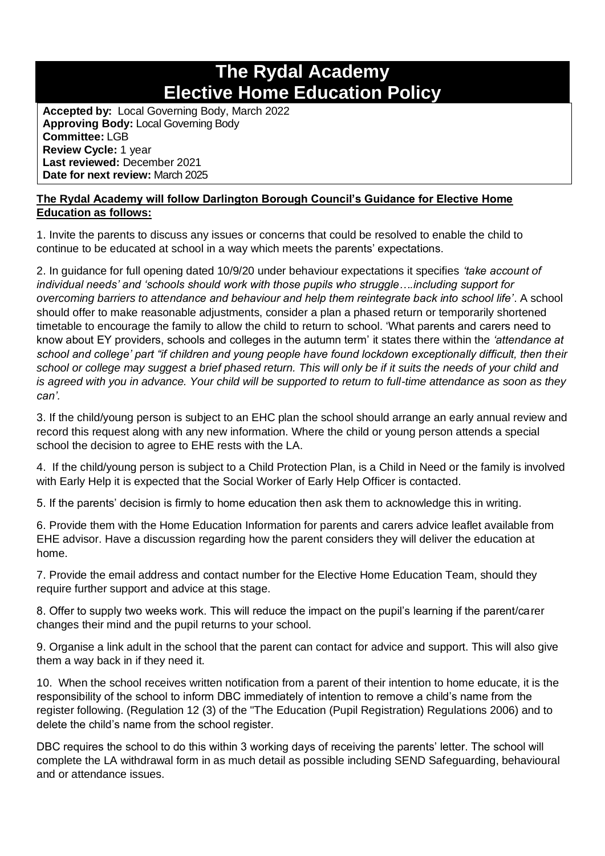## **The Rydal Academy Elective Home Education Policy**

**Accepted by:** Local Governing Body, March 2022 **Approving Body:** Local Governing Body **Committee:** LGB **Review Cycle:** 1 year **Last reviewed:** December 2021 **Date for next review:** March 2025

## **The Rydal Academy will follow Darlington Borough Council's Guidance for Elective Home Education as follows:**

1. Invite the parents to discuss any issues or concerns that could be resolved to enable the child to continue to be educated at school in a way which meets the parents' expectations.

2. In guidance for full opening dated 10/9/20 under behaviour expectations it specifies *'take account of individual needs' and 'schools should work with those pupils who struggle….including support for overcoming barriers to attendance and behaviour and help them reintegrate back into school life'*. A school should offer to make reasonable adjustments, consider a plan a phased return or temporarily shortened timetable to encourage the family to allow the child to return to school. 'What parents and carers need to know about EY providers, schools and colleges in the autumn term' it states there within the *'attendance at school and college' part "if children and young people have found lockdown exceptionally difficult, then their school or college may suggest a brief phased return. This will only be if it suits the needs of your child and is agreed with you in advance. Your child will be supported to return to full-time attendance as soon as they can'.*

3. If the child/young person is subject to an EHC plan the school should arrange an early annual review and record this request along with any new information. Where the child or young person attends a special school the decision to agree to EHE rests with the LA.

4. If the child/young person is subject to a Child Protection Plan, is a Child in Need or the family is involved with Early Help it is expected that the Social Worker of Early Help Officer is contacted.

5. If the parents' decision is firmly to home education then ask them to acknowledge this in writing.

6. Provide them with the Home Education Information for parents and carers advice leaflet available from EHE advisor. Have a discussion regarding how the parent considers they will deliver the education at home.

7. Provide the email address and contact number for the Elective Home Education Team, should they require further support and advice at this stage.

8. Offer to supply two weeks work. This will reduce the impact on the pupil's learning if the parent/carer changes their mind and the pupil returns to your school.

9. Organise a link adult in the school that the parent can contact for advice and support. This will also give them a way back in if they need it.

10. When the school receives written notification from a parent of their intention to home educate, it is the responsibility of the school to inform DBC immediately of intention to remove a child's name from the register following. (Regulation 12 (3) of the "The Education (Pupil Registration) Regulations 2006) and to delete the child's name from the school register.

DBC requires the school to do this within 3 working days of receiving the parents' letter. The school will complete the LA withdrawal form in as much detail as possible including SEND Safeguarding, behavioural and or attendance issues.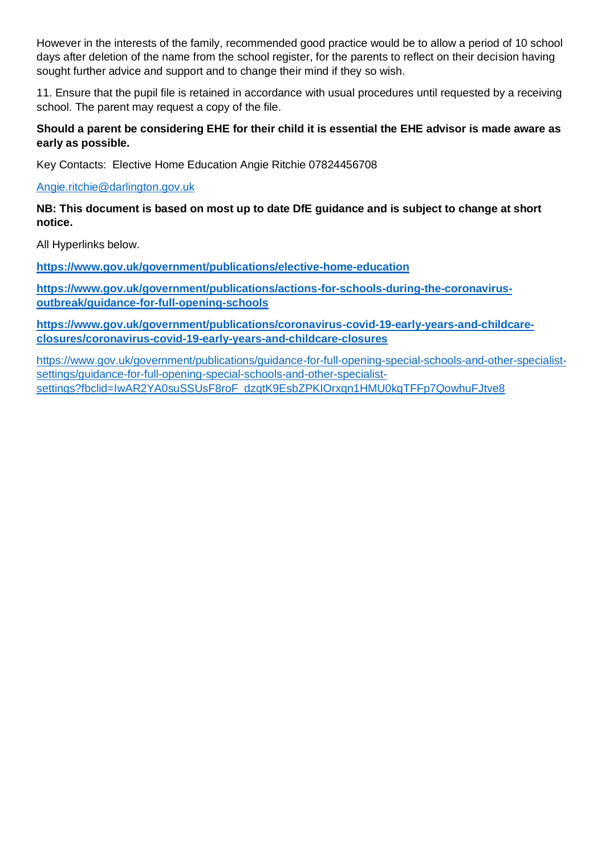However in the interests of the family, recommended good practice would be to allow a period of 10 school days after deletion of the name from the school register, for the parents to reflect on their decision having sought further advice and support and to change their mind if they so wish.

11. Ensure that the pupil file is retained in accordance with usual procedures until requested by a receiving school. The parent may request a copy of the file.

**Should a parent be considering EHE for their child it is essential the EHE advisor is made aware as early as possible.** 

Key Contacts: Elective Home Education Angie Ritchie 07824456708

[Angie.ritchie@darlington.gov.uk](mailto:Angie.ritchie@darlington.gov.uk)

**NB: This document is based on most up to date DfE guidance and is subject to change at short notice.** 

All Hyperlinks below.

**<https://www.gov.uk/government/publications/elective-home-education>**

**[https://www.gov.uk/government/publications/actions-for-schools-during-the-coronavirus](https://www.gov.uk/government/publications/actions-for-schools-during-the-coronavirus-outbreak/guidance-for-full-opening-schools)[outbreak/guidance-for-full-opening-schools](https://www.gov.uk/government/publications/actions-for-schools-during-the-coronavirus-outbreak/guidance-for-full-opening-schools)**

**[https://www.gov.uk/government/publications/coronavirus-covid-19-early-years-and-childcare](https://www.gov.uk/government/publications/coronavirus-covid-19-early-years-and-childcare-closures/coronavirus-covid-19-early-years-and-childcare-closures)[closures/coronavirus-covid-19-early-years-and-childcare-closures](https://www.gov.uk/government/publications/coronavirus-covid-19-early-years-and-childcare-closures/coronavirus-covid-19-early-years-and-childcare-closures)**

[https://www.gov.uk/government/publications/guidance-for-full-opening-special-schools-and-other-specialist](https://www.gov.uk/government/publications/guidance-for-full-opening-special-schools-and-other-specialist-settings/guidance-for-full-opening-special-schools-and-other-specialist-settings?fbclid=IwAR2YA0suSSUsF8roF_dzqtK9EsbZPKIOrxqn1HMU0kqTFFp7QowhuFJtve8)[settings/guidance-for-full-opening-special-schools-and-other-specialist](https://www.gov.uk/government/publications/guidance-for-full-opening-special-schools-and-other-specialist-settings/guidance-for-full-opening-special-schools-and-other-specialist-settings?fbclid=IwAR2YA0suSSUsF8roF_dzqtK9EsbZPKIOrxqn1HMU0kqTFFp7QowhuFJtve8)[settings?fbclid=IwAR2YA0suSSUsF8roF\\_dzqtK9EsbZPKIOrxqn1HMU0kqTFFp7QowhuFJtve8](https://www.gov.uk/government/publications/guidance-for-full-opening-special-schools-and-other-specialist-settings/guidance-for-full-opening-special-schools-and-other-specialist-settings?fbclid=IwAR2YA0suSSUsF8roF_dzqtK9EsbZPKIOrxqn1HMU0kqTFFp7QowhuFJtve8)